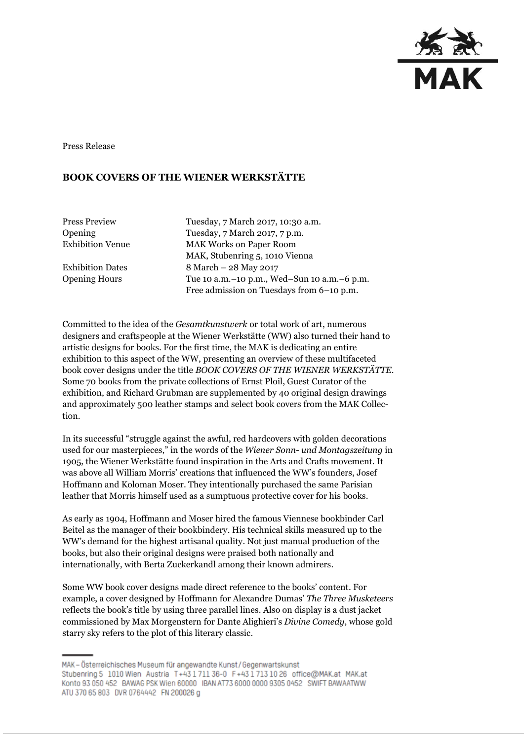

Press Release

## **BOOK COVERS OF THE WIENER WERKSTÄTTE**

Press Preview Tuesday, 7 March 2017, 10:30 a.m. Opening Tuesday, 7 March 2017, 7 p.m. Exhibition Venue MAK Works on Paper Room MAK, Stubenring 5, 1010 Vienna Exhibition Dates 8 March – 28 May 2017 Opening Hours Tue 10 a.m.–10 p.m., Wed–Sun 10 a.m.–6 p.m. Free admission on Tuesdays from 6–10 p.m.

Committed to the idea of the *Gesamtkunstwerk* or total work of art, numerous designers and craftspeople at the Wiener Werkstätte (WW) also turned their hand to artistic designs for books. For the first time, the MAK is dedicating an entire exhibition to this aspect of the WW, presenting an overview of these multifaceted book cover designs under the title *BOOK COVERS OF THE WIENER WERKSTÄTTE*. Some 70 books from the private collections of Ernst Ploil, Guest Curator of the exhibition, and Richard Grubman are supplemented by 40 original design drawings and approximately 500 leather stamps and select book covers from the MAK Collection.

In its successful "struggle against the awful, red hardcovers with golden decorations used for our masterpieces," in the words of the *Wiener Sonn- und Montagszeitung* in 1905, the Wiener Werkstätte found inspiration in the Arts and Crafts movement. It was above all William Morris' creations that influenced the WW's founders, Josef Hoffmann and Koloman Moser. They intentionally purchased the same Parisian leather that Morris himself used as a sumptuous protective cover for his books.

As early as 1904, Hoffmann and Moser hired the famous Viennese bookbinder Carl Beitel as the manager of their bookbindery. His technical skills measured up to the WW's demand for the highest artisanal quality. Not just manual production of the books, but also their original designs were praised both nationally and internationally, with Berta Zuckerkandl among their known admirers.

Some WW book cover designs made direct reference to the books' content. For example, a cover designed by Hoffmann for Alexandre Dumas' *The Three Musketeers*  reflects the book's title by using three parallel lines. Also on display is a dust jacket commissioned by Max Morgenstern for Dante Alighieri's *Divine Comedy*, whose gold starry sky refers to the plot of this literary classic.

MAK - Österreichisches Museum für angewandte Kunst/Gegenwartskunst Stubenring 5 1010 Wien Austria T+43171136-0 F+4317131026 office@MAK.at MAK.at Konto 93 050 452 BAWAG PSK Wien 60000 IBAN AT73 6000 0000 9305 0452 SWIFT BAWAATWW ATU 370 65 803 DVR 0764442 FN 200026 g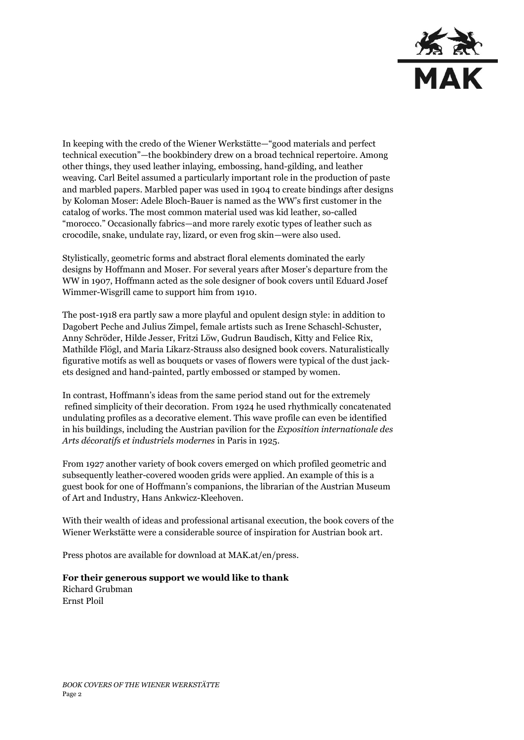

In keeping with the credo of the Wiener Werkstätte—"good materials and perfect technical execution"—the bookbindery drew on a broad technical repertoire. Among other things, they used leather inlaying, embossing, hand-gilding, and leather weaving. Carl Beitel assumed a particularly important role in the production of paste and marbled papers. Marbled paper was used in 1904 to create bindings after designs by Koloman Moser: Adele Bloch-Bauer is named as the WW's first customer in the catalog of works. The most common material used was kid leather, so-called "morocco." Occasionally fabrics—and more rarely exotic types of leather such as crocodile, snake, undulate ray, lizard, or even frog skin—were also used.

Stylistically, geometric forms and abstract floral elements dominated the early designs by Hoffmann and Moser. For several years after Moser's departure from the WW in 1907, Hoffmann acted as the sole designer of book covers until Eduard Josef Wimmer-Wisgrill came to support him from 1910.

The post-1918 era partly saw a more playful and opulent design style: in addition to Dagobert Peche and Julius Zimpel, female artists such as Irene Schaschl-Schuster, Anny Schröder, Hilde Jesser, Fritzi Löw, Gudrun Baudisch, Kitty and Felice Rix, Mathilde Flögl, and Maria Likarz-Strauss also designed book covers. Naturalistically figurative motifs as well as bouquets or vases of flowers were typical of the dust jackets designed and hand-painted, partly embossed or stamped by women.

In contrast, Hoffmann's ideas from the same period stand out for the extremely refined simplicity of their decoration. From 1924 he used rhythmically concatenated undulating profiles as a decorative element. This wave profile can even be identified in his buildings, including the Austrian pavilion for the *Exposition internationale des Arts décoratifs et industriels modernes* in Paris in 1925.

From 1927 another variety of book covers emerged on which profiled geometric and subsequently leather-covered wooden grids were applied. An example of this is a guest book for one of Hoffmann's companions, the librarian of the Austrian Museum of Art and Industry, Hans Ankwicz-Kleehoven.

With their wealth of ideas and professional artisanal execution, the book covers of the Wiener Werkstätte were a considerable source of inspiration for Austrian book art.

Press photos are available for download at MAK.at/en/press.

## **For their generous support we would like to thank** Richard Grubman Ernst Ploil